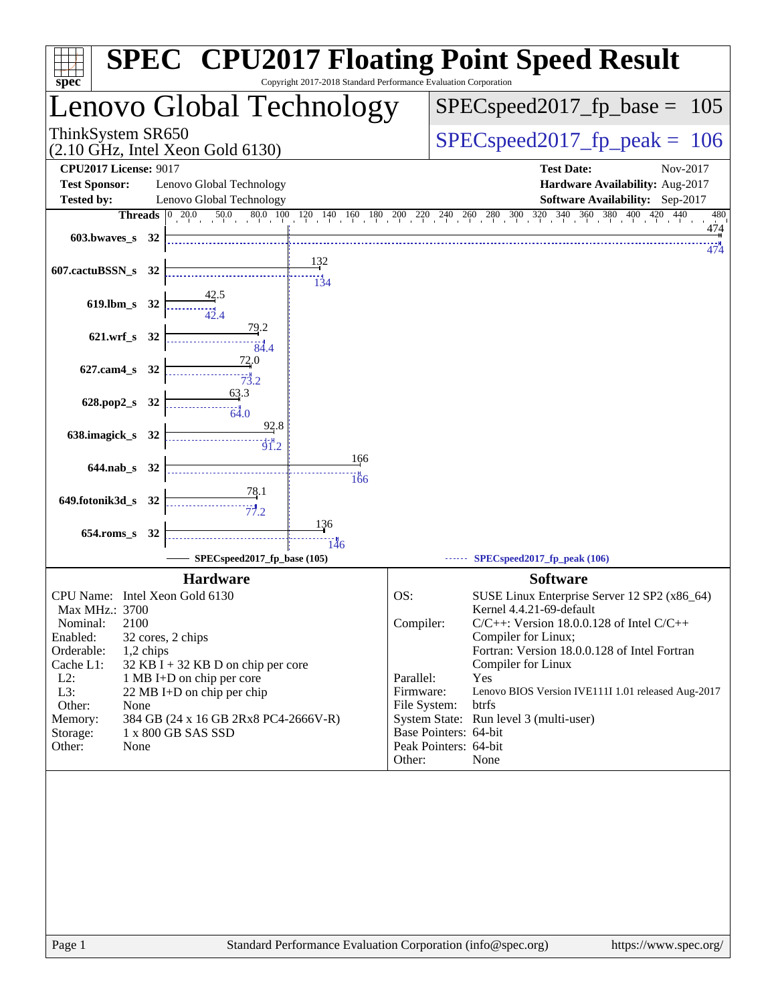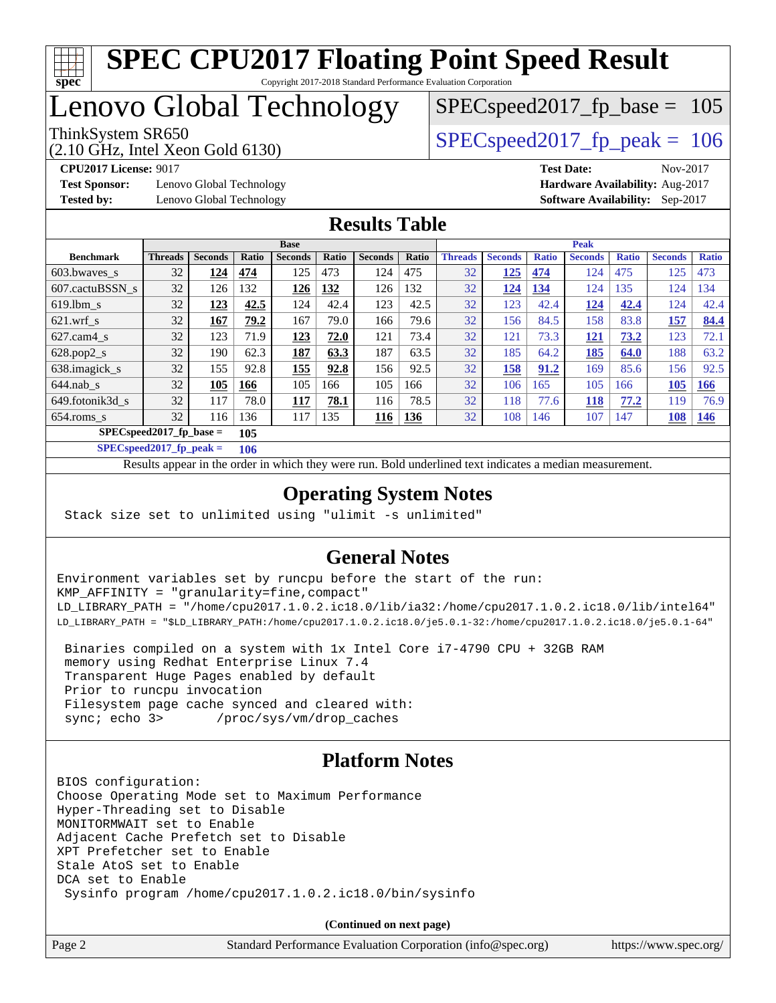

## Lenovo Global Technology

(2.10 GHz, Intel Xeon Gold 6130)

ThinkSystem SR650  $SPEC speed2017$  fp\_peak = 106

SPECspeed2017 fp base =  $105$ 

**[Test Sponsor:](http://www.spec.org/auto/cpu2017/Docs/result-fields.html#TestSponsor)** Lenovo Global Technology **[Hardware Availability:](http://www.spec.org/auto/cpu2017/Docs/result-fields.html#HardwareAvailability)** Aug-2017 **[Tested by:](http://www.spec.org/auto/cpu2017/Docs/result-fields.html#Testedby)** Lenovo Global Technology **[Software Availability:](http://www.spec.org/auto/cpu2017/Docs/result-fields.html#SoftwareAvailability)** Sep-2017

**[CPU2017 License:](http://www.spec.org/auto/cpu2017/Docs/result-fields.html#CPU2017License)** 9017 **[Test Date:](http://www.spec.org/auto/cpu2017/Docs/result-fields.html#TestDate)** Nov-2017

#### **[Results Table](http://www.spec.org/auto/cpu2017/Docs/result-fields.html#ResultsTable)**

|                  | <b>Base</b>                       |                |              |                | <b>Peak</b> |                |       |                |                |              |                |              |                |              |
|------------------|-----------------------------------|----------------|--------------|----------------|-------------|----------------|-------|----------------|----------------|--------------|----------------|--------------|----------------|--------------|
| <b>Benchmark</b> | <b>Threads</b>                    | <b>Seconds</b> | <b>Ratio</b> | <b>Seconds</b> | Ratio       | <b>Seconds</b> | Ratio | <b>Threads</b> | <b>Seconds</b> | <b>Ratio</b> | <b>Seconds</b> | <b>Ratio</b> | <b>Seconds</b> | <b>Ratio</b> |
| 603.bwayes_s     | 32                                | 124            | 474          | 125            | 473         | 124            | 475   | 32             | 125            | 474          | 124            | 475          | 125            | 473          |
| 607.cactuBSSN s  | 32                                | 126            | 132          | 126            | 132         | 126            | 132   | 32             | 124            | 134          | 124            | 135          | 124            | 134          |
| $619.$ lbm s     | 32                                | 123            | 42.5         | 124            | 42.4        | 123            | 42.5  | 32             | 123            | 42.4         | 124            | 42.4         | 124            | 42.4         |
| $621$ .wrf s     | 32                                | 167            | 79.2         | 167            | 79.0        | 166            | 79.6  | 32             | 156            | 84.5         | 158            | 83.8         | 157            | 84.4         |
| $627$ .cam4 s    | 32                                | 123            | 71.9         | 123            | 72.0        | 121            | 73.4  | 32             | 121            | 73.3         | <u>121</u>     | 73.2         | 123            | 72.1         |
| $628.pop2_s$     | 32                                | 190            | 62.3         | 187            | 63.3        | 187            | 63.5  | 32             | 185            | 64.2         | 185            | 64.0         | 188            | 63.2         |
| 638.imagick_s    | 32                                | 155            | 92.8         | 155            | 92.8        | 156            | 92.5  | 32             | 158            | 91.2         | 169            | 85.6         | 156            | 92.5         |
| $644$ .nab s     | 32                                | 105            | 166          | 105            | 166         | 105            | 166   | 32             | 106            | 165          | 105            | 166          | 105            | 166          |
| 649.fotonik3d s  | 32                                | 117            | 78.0         | 117            | 78.1        | 116            | 78.5  | 32             | 118            | 77.6         | 118            | 77.2         | 119            | 76.9         |
| $654$ .roms s    | 32                                | 116            | 136          | 117            | 135         | 116            | 136   | 32             | 108            | 146          | 107            | 147          | 108            | 146          |
|                  | $SPEC speed2017$ fp base =<br>105 |                |              |                |             |                |       |                |                |              |                |              |                |              |

**[SPECspeed2017\\_fp\\_peak =](http://www.spec.org/auto/cpu2017/Docs/result-fields.html#SPECspeed2017fppeak) 106**

Results appear in the [order in which they were run.](http://www.spec.org/auto/cpu2017/Docs/result-fields.html#RunOrder) Bold underlined text [indicates a median measurement](http://www.spec.org/auto/cpu2017/Docs/result-fields.html#Median).

#### **[Operating System Notes](http://www.spec.org/auto/cpu2017/Docs/result-fields.html#OperatingSystemNotes)**

Stack size set to unlimited using "ulimit -s unlimited"

#### **[General Notes](http://www.spec.org/auto/cpu2017/Docs/result-fields.html#GeneralNotes)**

Environment variables set by runcpu before the start of the run: KMP\_AFFINITY = "granularity=fine,compact" LD\_LIBRARY\_PATH = "/home/cpu2017.1.0.2.ic18.0/lib/ia32:/home/cpu2017.1.0.2.ic18.0/lib/intel64" LD\_LIBRARY\_PATH = "\$LD\_LIBRARY\_PATH:/home/cpu2017.1.0.2.ic18.0/je5.0.1-32:/home/cpu2017.1.0.2.ic18.0/je5.0.1-64"

 Binaries compiled on a system with 1x Intel Core i7-4790 CPU + 32GB RAM memory using Redhat Enterprise Linux 7.4 Transparent Huge Pages enabled by default Prior to runcpu invocation Filesystem page cache synced and cleared with: sync; echo 3> /proc/sys/vm/drop\_caches

#### **[Platform Notes](http://www.spec.org/auto/cpu2017/Docs/result-fields.html#PlatformNotes)**

BIOS configuration: Choose Operating Mode set to Maximum Performance Hyper-Threading set to Disable MONITORMWAIT set to Enable Adjacent Cache Prefetch set to Disable XPT Prefetcher set to Enable Stale AtoS set to Enable DCA set to Enable Sysinfo program /home/cpu2017.1.0.2.ic18.0/bin/sysinfo

**(Continued on next page)**

Page 2 Standard Performance Evaluation Corporation [\(info@spec.org\)](mailto:info@spec.org) <https://www.spec.org/>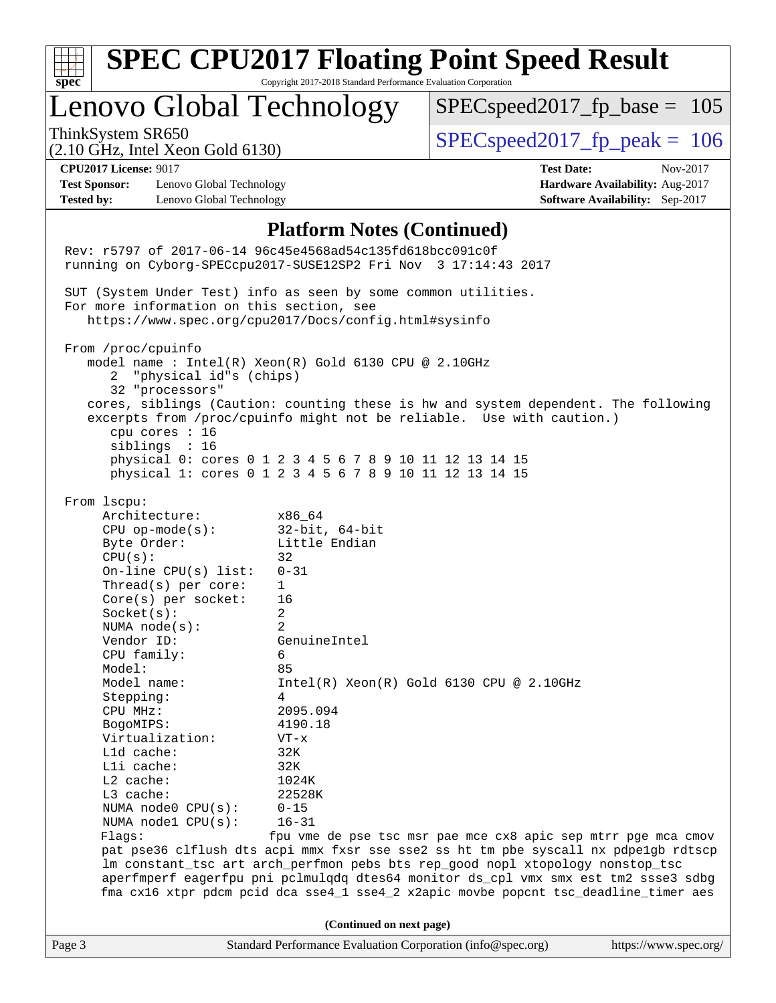| $spec^*$                                                                  |                                                                                                                                                                                                                                                                                                                                                                                                                                   | Copyright 2017-2018 Standard Performance Evaluation Corporation                                                                                                                                                                                                                                                                                                                                                                                                                                                                                                                                                                                                 | <b>SPEC CPU2017 Floating Point Speed Result</b>                                                                                                                                                                                                                                                                                                                                                                     |                                                                                       |  |  |
|---------------------------------------------------------------------------|-----------------------------------------------------------------------------------------------------------------------------------------------------------------------------------------------------------------------------------------------------------------------------------------------------------------------------------------------------------------------------------------------------------------------------------|-----------------------------------------------------------------------------------------------------------------------------------------------------------------------------------------------------------------------------------------------------------------------------------------------------------------------------------------------------------------------------------------------------------------------------------------------------------------------------------------------------------------------------------------------------------------------------------------------------------------------------------------------------------------|---------------------------------------------------------------------------------------------------------------------------------------------------------------------------------------------------------------------------------------------------------------------------------------------------------------------------------------------------------------------------------------------------------------------|---------------------------------------------------------------------------------------|--|--|
| Lenovo Global Technology                                                  |                                                                                                                                                                                                                                                                                                                                                                                                                                   |                                                                                                                                                                                                                                                                                                                                                                                                                                                                                                                                                                                                                                                                 | $SPEC speed2017_f p\_base = 105$                                                                                                                                                                                                                                                                                                                                                                                    |                                                                                       |  |  |
| ThinkSystem SR650                                                         | $(2.10 \text{ GHz}, \text{Intel Xeon Gold } 6130)$                                                                                                                                                                                                                                                                                                                                                                                |                                                                                                                                                                                                                                                                                                                                                                                                                                                                                                                                                                                                                                                                 | $SPEC speed2017_fp\_peak = 106$                                                                                                                                                                                                                                                                                                                                                                                     |                                                                                       |  |  |
| <b>CPU2017 License: 9017</b><br><b>Test Sponsor:</b><br><b>Tested by:</b> | Lenovo Global Technology<br>Lenovo Global Technology                                                                                                                                                                                                                                                                                                                                                                              |                                                                                                                                                                                                                                                                                                                                                                                                                                                                                                                                                                                                                                                                 | <b>Test Date:</b>                                                                                                                                                                                                                                                                                                                                                                                                   | Nov-2017<br>Hardware Availability: Aug-2017<br><b>Software Availability:</b> Sep-2017 |  |  |
| From /proc/cpuinfo<br>2<br>From lscpu:<br>CPU(s):<br>Model:<br>CPU MHz:   | For more information on this section, see<br>"physical id"s (chips)<br>32 "processors"<br>cpu cores : 16<br>siblings : 16<br>Architecture:<br>$CPU$ op-mode( $s$ ):<br>Byte Order:<br>On-line CPU(s) list:<br>Thread( $s$ ) per core:<br>Core(s) per socket:<br>Socket(s):<br>NUMA $node(s):$<br>Vendor ID:<br>CPU family:<br>Model name:<br>Stepping:<br>BogoMIPS:<br>Virtualization:<br>L1d cache:<br>Lli cache:<br>$L2$ cache: | <b>Platform Notes (Continued)</b><br>Rev: r5797 of 2017-06-14 96c45e4568ad54c135fd618bcc091c0f<br>running on Cyborg-SPECcpu2017-SUSE12SP2 Fri Nov 3 17:14:43 2017<br>SUT (System Under Test) info as seen by some common utilities.<br>https://www.spec.org/cpu2017/Docs/config.html#sysinfo<br>model name : Intel(R) Xeon(R) Gold 6130 CPU @ 2.10GHz<br>physical 0: cores 0 1 2 3 4 5 6 7 8 9 10 11 12 13 14 15<br>physical 1: cores 0 1 2 3 4 5 6 7 8 9 10 11 12 13 14 15<br>x86_64<br>$32$ -bit, $64$ -bit<br>Little Endian<br>32<br>$0 - 31$<br>1<br>16<br>2<br>2<br>GenuineIntel<br>6<br>85<br>4<br>2095.094<br>4190.18<br>$VT - x$<br>32K<br>32K<br>1024K | cores, siblings (Caution: counting these is hw and system dependent. The following<br>excerpts from /proc/cpuinfo might not be reliable. Use with caution.)<br>$Intel(R)$ Xeon $(R)$ Gold 6130 CPU @ 2.10GHz                                                                                                                                                                                                        |                                                                                       |  |  |
| Flags:                                                                    | L3 cache:<br>NUMA node0 CPU(s):<br>NUMA $node1$ $CPU(s):$                                                                                                                                                                                                                                                                                                                                                                         | 22528K<br>$0 - 15$<br>$16 - 31$                                                                                                                                                                                                                                                                                                                                                                                                                                                                                                                                                                                                                                 | fpu vme de pse tsc msr pae mce cx8 apic sep mtrr pge mca cmov<br>pat pse36 clflush dts acpi mmx fxsr sse sse2 ss ht tm pbe syscall nx pdpelgb rdtscp<br>lm constant_tsc art arch_perfmon pebs bts rep_good nopl xtopology nonstop_tsc<br>aperfmperf eagerfpu pni pclmulqdq dtes64 monitor ds_cpl vmx smx est tm2 ssse3 sdbg<br>fma cx16 xtpr pdcm pcid dca sse4_1 sse4_2 x2apic movbe popcnt tsc_deadline_timer aes |                                                                                       |  |  |
|                                                                           |                                                                                                                                                                                                                                                                                                                                                                                                                                   | (Continued on next page)                                                                                                                                                                                                                                                                                                                                                                                                                                                                                                                                                                                                                                        |                                                                                                                                                                                                                                                                                                                                                                                                                     |                                                                                       |  |  |
| Page 3                                                                    |                                                                                                                                                                                                                                                                                                                                                                                                                                   | Standard Performance Evaluation Corporation (info@spec.org)                                                                                                                                                                                                                                                                                                                                                                                                                                                                                                                                                                                                     |                                                                                                                                                                                                                                                                                                                                                                                                                     | https://www.spec.org/                                                                 |  |  |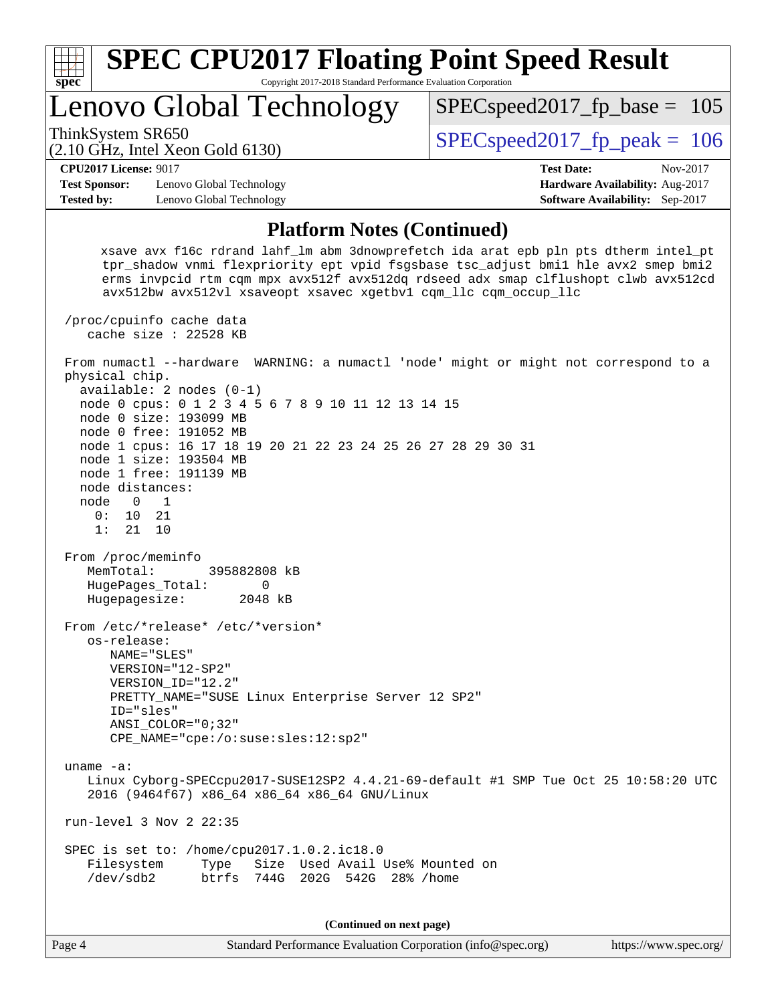| <b>SPEC CPU2017 Floating Point Speed Result</b><br>Copyright 2017-2018 Standard Performance Evaluation Corporation<br>spec <sup>®</sup> |                                                                 |                                                                                                                                                                                                                                                                 |  |  |  |  |  |
|-----------------------------------------------------------------------------------------------------------------------------------------|-----------------------------------------------------------------|-----------------------------------------------------------------------------------------------------------------------------------------------------------------------------------------------------------------------------------------------------------------|--|--|--|--|--|
|                                                                                                                                         | Lenovo Global Technology                                        | $SPEC speed2017_f p\_base = 105$                                                                                                                                                                                                                                |  |  |  |  |  |
| ThinkSystem SR650                                                                                                                       | $(2.10 \text{ GHz}, \text{Intel Xeon Gold } 6130)$              | $SPEC speed2017_fp\_peak = 106$                                                                                                                                                                                                                                 |  |  |  |  |  |
| <b>CPU2017 License: 9017</b>                                                                                                            |                                                                 | <b>Test Date:</b><br>Nov-2017                                                                                                                                                                                                                                   |  |  |  |  |  |
| <b>Test Sponsor:</b>                                                                                                                    | Lenovo Global Technology                                        | <b>Hardware Availability: Aug-2017</b>                                                                                                                                                                                                                          |  |  |  |  |  |
| <b>Tested by:</b>                                                                                                                       | Lenovo Global Technology                                        | <b>Software Availability:</b> Sep-2017                                                                                                                                                                                                                          |  |  |  |  |  |
| <b>Platform Notes (Continued)</b>                                                                                                       |                                                                 |                                                                                                                                                                                                                                                                 |  |  |  |  |  |
|                                                                                                                                         | avx512bw avx512vl xsaveopt xsavec xgetbvl cqm llc cqm occup llc | xsave avx f16c rdrand lahf 1m abm 3dnowprefetch ida arat epb pln pts dtherm intel pt<br>tpr_shadow vnmi flexpriority ept vpid fsgsbase tsc_adjust bmil hle avx2 smep bmi2<br>erms invpcid rtm cqm mpx avx512f avx512dq rdseed adx smap clflushopt clwb avx512cd |  |  |  |  |  |
|                                                                                                                                         | /proc/cpuinfo cache data<br>cache size : $22528$ KB             |                                                                                                                                                                                                                                                                 |  |  |  |  |  |
|                                                                                                                                         |                                                                 | From numactl --hardware WARNING: a numactl 'node' might or might not correspond to a                                                                                                                                                                            |  |  |  |  |  |

 node 0 cpus: 0 1 2 3 4 5 6 7 8 9 10 11 12 13 14 15 node 0 size: 193099 MB node 0 free: 191052 MB node 1 cpus: 16 17 18 19 20 21 22 23 24 25 26 27 28 29 30 31 node 1 size: 193504 MB node 1 free: 191139 MB node distances: node 0 1<br>0: 10 21  $0: 10$  1: 21 10 From /proc/meminfo MemTotal: 395882808 kB HugePages\_Total: 0 Hugepagesize: 2048 kB From /etc/\*release\* /etc/\*version\* os-release: NAME="SLES" VERSION="12-SP2" VERSION\_ID="12.2" PRETTY\_NAME="SUSE Linux Enterprise Server 12 SP2" ID="sles" ANSI\_COLOR="0;32" CPE\_NAME="cpe:/o:suse:sles:12:sp2" uname -a: Linux Cyborg-SPECcpu2017-SUSE12SP2 4.4.21-69-default #1 SMP Tue Oct 25 10:58:20 UTC 2016 (9464f67) x86\_64 x86\_64 x86\_64 GNU/Linux run-level 3 Nov 2 22:35 SPEC is set to: /home/cpu2017.1.0.2.ic18.0 Filesystem Type Size Used Avail Use% Mounted on /dev/sdb2 btrfs 744G 202G 542G 28% /home **(Continued on next page)**

physical chip.

available: 2 nodes (0-1)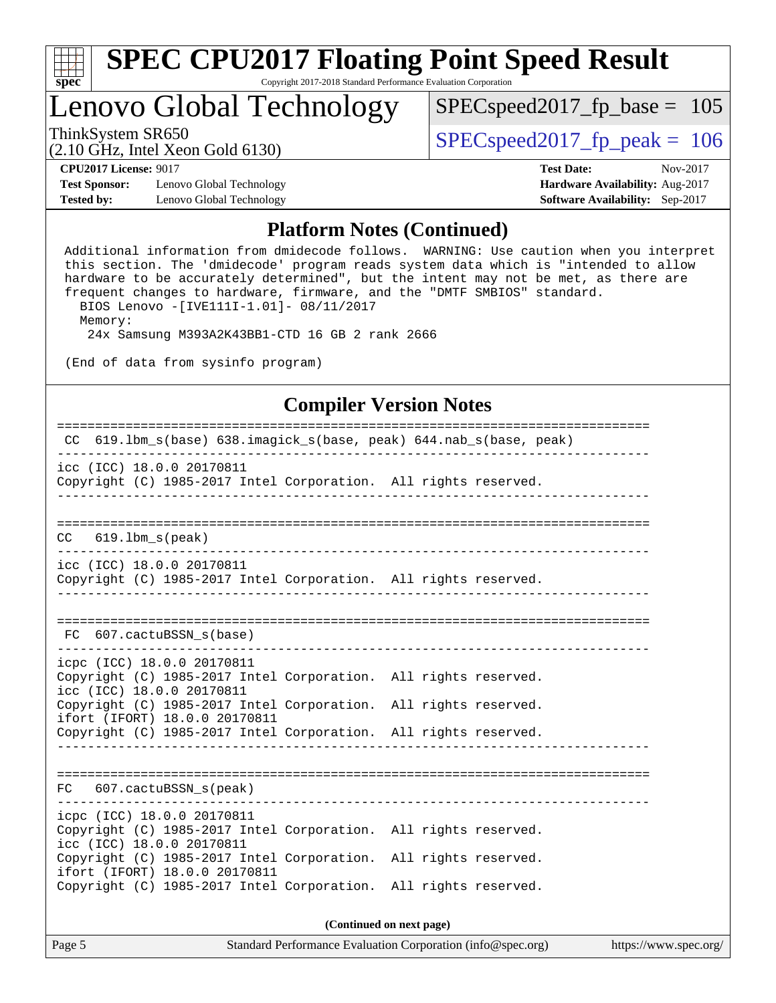

# **[SPEC CPU2017 Floating Point Speed Result](http://www.spec.org/auto/cpu2017/Docs/result-fields.html#SPECCPU2017FloatingPointSpeedResult)**

Copyright 2017-2018 Standard Performance Evaluation Corporation

## Lenovo Global Technology

ThinkSystem SR650<br>  $\angle (2.10 \text{ GHz. Intel Yoon Gold } 6130)$   $\angle$  [SPECspeed2017\\_fp\\_peak =](http://www.spec.org/auto/cpu2017/Docs/result-fields.html#SPECspeed2017fppeak) 106  $SPEC speed2017_fp\_base = 105$ 

(2.10 GHz, Intel Xeon Gold 6130)

**[CPU2017 License:](http://www.spec.org/auto/cpu2017/Docs/result-fields.html#CPU2017License)** 9017 **[Test Date:](http://www.spec.org/auto/cpu2017/Docs/result-fields.html#TestDate)** Nov-2017

**[Test Sponsor:](http://www.spec.org/auto/cpu2017/Docs/result-fields.html#TestSponsor)** Lenovo Global Technology **[Hardware Availability:](http://www.spec.org/auto/cpu2017/Docs/result-fields.html#HardwareAvailability)** Aug-2017 **[Tested by:](http://www.spec.org/auto/cpu2017/Docs/result-fields.html#Testedby)** Lenovo Global Technology **[Software Availability:](http://www.spec.org/auto/cpu2017/Docs/result-fields.html#SoftwareAvailability)** Sep-2017

#### **[Platform Notes \(Continued\)](http://www.spec.org/auto/cpu2017/Docs/result-fields.html#PlatformNotes)**

 Additional information from dmidecode follows. WARNING: Use caution when you interpret this section. The 'dmidecode' program reads system data which is "intended to allow hardware to be accurately determined", but the intent may not be met, as there are frequent changes to hardware, firmware, and the "DMTF SMBIOS" standard. BIOS Lenovo -[IVE111I-1.01]- 08/11/2017 Memory: 24x Samsung M393A2K43BB1-CTD 16 GB 2 rank 2666

(End of data from sysinfo program)

#### **[Compiler Version Notes](http://www.spec.org/auto/cpu2017/Docs/result-fields.html#CompilerVersionNotes)**

| CC 619.1bm_s(base) 638.imagick_s(base, peak) 644.nab_s(base, peak)                                                                                                  |
|---------------------------------------------------------------------------------------------------------------------------------------------------------------------|
| icc (ICC) 18.0.0 20170811<br>Copyright (C) 1985-2017 Intel Corporation. All rights reserved.                                                                        |
| 619.1bm s(peak)<br>CC.                                                                                                                                              |
| icc (ICC) 18.0.0 20170811<br>Copyright (C) 1985-2017 Intel Corporation. All rights reserved.                                                                        |
| FC 607. cactuBSSN s(base)                                                                                                                                           |
| icpc (ICC) 18.0.0 20170811<br>Copyright (C) 1985-2017 Intel Corporation. All rights reserved.<br>icc (ICC) 18.0.0 20170811                                          |
| Copyright (C) 1985-2017 Intel Corporation. All rights reserved.<br>ifort (IFORT) 18.0.0 20170811<br>Copyright (C) 1985-2017 Intel Corporation. All rights reserved. |
|                                                                                                                                                                     |
| FC 607.cactuBSSN_s(peak)                                                                                                                                            |
| icpc (ICC) 18.0.0 20170811<br>Copyright (C) 1985-2017 Intel Corporation. All rights reserved.<br>icc (ICC) 18.0.0 20170811                                          |
| Copyright (C) 1985-2017 Intel Corporation. All rights reserved.<br>ifort (IFORT) 18.0.0 20170811<br>Copyright (C) 1985-2017 Intel Corporation. All rights reserved. |
|                                                                                                                                                                     |

**(Continued on next page)**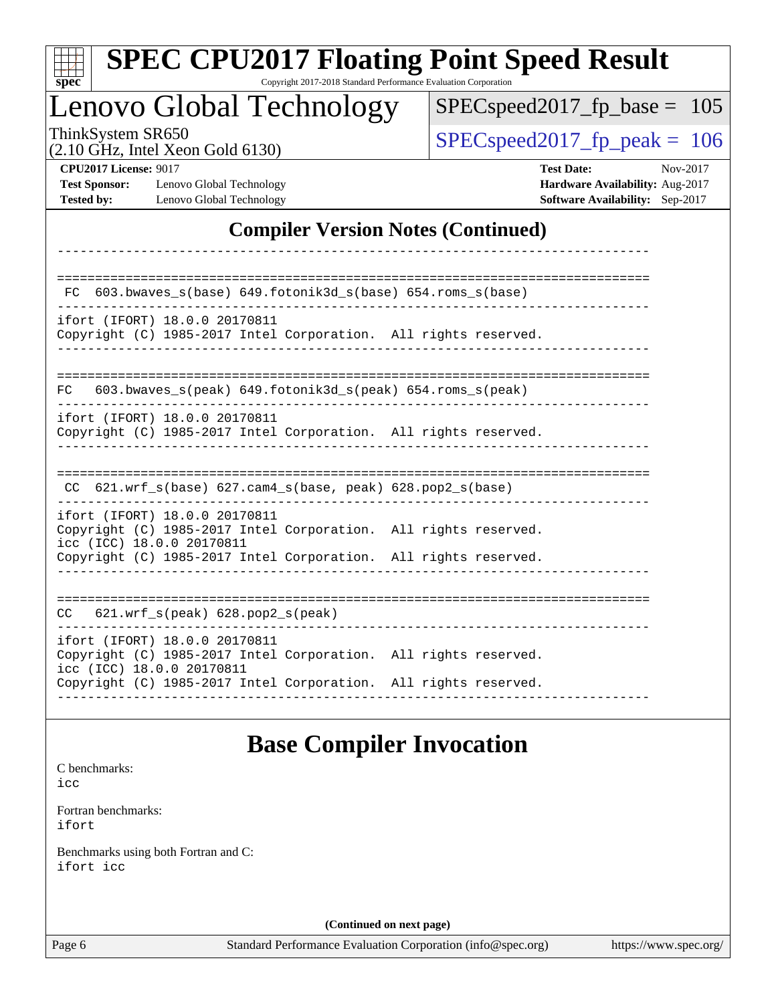| <b>SPEC CPU2017 Floating Point Speed Result</b><br>spec<br>Copyright 2017-2018 Standard Performance Evaluation Corporation        |                                                                                                     |
|-----------------------------------------------------------------------------------------------------------------------------------|-----------------------------------------------------------------------------------------------------|
| Lenovo Global Technology                                                                                                          | $SPEC speed2017_fp\_base = 105$                                                                     |
| ThinkSystem SR650<br>$(2.10 \text{ GHz}, \text{Intel Xeon Gold } 6130)$                                                           | $SPEC speed2017fp peak = 106$                                                                       |
| <b>CPU2017 License: 9017</b><br><b>Test Sponsor:</b><br>Lenovo Global Technology<br><b>Tested by:</b><br>Lenovo Global Technology | <b>Test Date:</b><br>Nov-2017<br>Hardware Availability: Aug-2017<br>Software Availability: Sep-2017 |
| <b>Compiler Version Notes (Continued)</b>                                                                                         |                                                                                                     |
| 603.bwaves_s(base) 649.fotonik3d_s(base) 654.roms_s(base)                                                                         |                                                                                                     |
| ifort (IFORT) 18.0.0 20170811<br>Copyright (C) 1985-2017 Intel Corporation. All rights reserved.                                  |                                                                                                     |
| 603.bwaves_s(peak) 649.fotonik3d_s(peak) 654.roms_s(peak)<br>FC.                                                                  |                                                                                                     |
| ifort (IFORT) 18.0.0 20170811<br>Copyright (C) 1985-2017 Intel Corporation. All rights reserved.                                  |                                                                                                     |
| CC 621.wrf_s(base) 627.cam4_s(base, peak) 628.pop2_s(base)                                                                        |                                                                                                     |
| ifort (IFORT) 18.0.0 20170811<br>Copyright (C) 1985-2017 Intel Corporation. All rights reserved.<br>icc (ICC) 18.0.0 20170811     |                                                                                                     |
| Copyright (C) 1985-2017 Intel Corporation. All rights reserved.                                                                   |                                                                                                     |
| $621.wrf_s(peak)$ $628.pop2_s(peak)$<br>CC.                                                                                       |                                                                                                     |
| ifort (IFORT) 18.0.0 20170811<br>Copyright (C) 1985-2017 Intel Corporation. All rights reserved.<br>icc (ICC) 18.0.0 20170811     |                                                                                                     |
| Copyright (C) 1985-2017 Intel Corporation. All rights reserved.                                                                   |                                                                                                     |
| <b>Base Compiler Invocation</b>                                                                                                   |                                                                                                     |
| C benchmarks:<br>icc                                                                                                              |                                                                                                     |

[Fortran benchmarks](http://www.spec.org/auto/cpu2017/Docs/result-fields.html#Fortranbenchmarks): [ifort](http://www.spec.org/cpu2017/results/res2017q4/cpu2017-20171113-00484.flags.html#user_FCbase_intel_ifort_18.0_8111460550e3ca792625aed983ce982f94888b8b503583aa7ba2b8303487b4d8a21a13e7191a45c5fd58ff318f48f9492884d4413fa793fd88dd292cad7027ca)

[Benchmarks using both Fortran and C](http://www.spec.org/auto/cpu2017/Docs/result-fields.html#BenchmarksusingbothFortranandC): [ifort](http://www.spec.org/cpu2017/results/res2017q4/cpu2017-20171113-00484.flags.html#user_CC_FCbase_intel_ifort_18.0_8111460550e3ca792625aed983ce982f94888b8b503583aa7ba2b8303487b4d8a21a13e7191a45c5fd58ff318f48f9492884d4413fa793fd88dd292cad7027ca) [icc](http://www.spec.org/cpu2017/results/res2017q4/cpu2017-20171113-00484.flags.html#user_CC_FCbase_intel_icc_18.0_66fc1ee009f7361af1fbd72ca7dcefbb700085f36577c54f309893dd4ec40d12360134090235512931783d35fd58c0460139e722d5067c5574d8eaf2b3e37e92)

**(Continued on next page)**

Page 6 Standard Performance Evaluation Corporation [\(info@spec.org\)](mailto:info@spec.org) <https://www.spec.org/>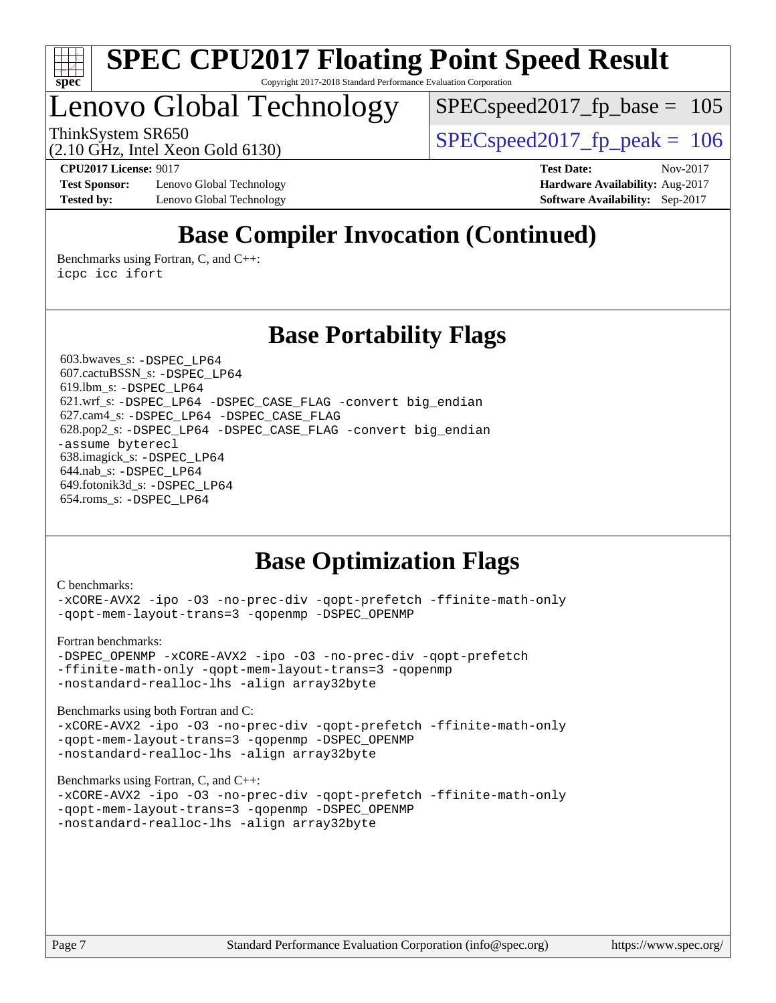

Lenovo Global Technology

SPECspeed2017 fp base  $= 105$ 

ThinkSystem SR650  $SPEC speed2017$  fp\_peak = 106

(2.10 GHz, Intel Xeon Gold 6130)

**[Test Sponsor:](http://www.spec.org/auto/cpu2017/Docs/result-fields.html#TestSponsor)** Lenovo Global Technology **[Hardware Availability:](http://www.spec.org/auto/cpu2017/Docs/result-fields.html#HardwareAvailability)** Aug-2017 **[Tested by:](http://www.spec.org/auto/cpu2017/Docs/result-fields.html#Testedby)** Lenovo Global Technology **[Software Availability:](http://www.spec.org/auto/cpu2017/Docs/result-fields.html#SoftwareAvailability)** Sep-2017

**[CPU2017 License:](http://www.spec.org/auto/cpu2017/Docs/result-fields.html#CPU2017License)** 9017 **[Test Date:](http://www.spec.org/auto/cpu2017/Docs/result-fields.html#TestDate)** Nov-2017

## **[Base Compiler Invocation \(Continued\)](http://www.spec.org/auto/cpu2017/Docs/result-fields.html#BaseCompilerInvocation)**

[Benchmarks using Fortran, C, and C++:](http://www.spec.org/auto/cpu2017/Docs/result-fields.html#BenchmarksusingFortranCandCXX) [icpc](http://www.spec.org/cpu2017/results/res2017q4/cpu2017-20171113-00484.flags.html#user_CC_CXX_FCbase_intel_icpc_18.0_c510b6838c7f56d33e37e94d029a35b4a7bccf4766a728ee175e80a419847e808290a9b78be685c44ab727ea267ec2f070ec5dc83b407c0218cded6866a35d07) [icc](http://www.spec.org/cpu2017/results/res2017q4/cpu2017-20171113-00484.flags.html#user_CC_CXX_FCbase_intel_icc_18.0_66fc1ee009f7361af1fbd72ca7dcefbb700085f36577c54f309893dd4ec40d12360134090235512931783d35fd58c0460139e722d5067c5574d8eaf2b3e37e92) [ifort](http://www.spec.org/cpu2017/results/res2017q4/cpu2017-20171113-00484.flags.html#user_CC_CXX_FCbase_intel_ifort_18.0_8111460550e3ca792625aed983ce982f94888b8b503583aa7ba2b8303487b4d8a21a13e7191a45c5fd58ff318f48f9492884d4413fa793fd88dd292cad7027ca)

### **[Base Portability Flags](http://www.spec.org/auto/cpu2017/Docs/result-fields.html#BasePortabilityFlags)**

 603.bwaves\_s: [-DSPEC\\_LP64](http://www.spec.org/cpu2017/results/res2017q4/cpu2017-20171113-00484.flags.html#suite_basePORTABILITY603_bwaves_s_DSPEC_LP64) 607.cactuBSSN\_s: [-DSPEC\\_LP64](http://www.spec.org/cpu2017/results/res2017q4/cpu2017-20171113-00484.flags.html#suite_basePORTABILITY607_cactuBSSN_s_DSPEC_LP64) 619.lbm\_s: [-DSPEC\\_LP64](http://www.spec.org/cpu2017/results/res2017q4/cpu2017-20171113-00484.flags.html#suite_basePORTABILITY619_lbm_s_DSPEC_LP64) 621.wrf\_s: [-DSPEC\\_LP64](http://www.spec.org/cpu2017/results/res2017q4/cpu2017-20171113-00484.flags.html#suite_basePORTABILITY621_wrf_s_DSPEC_LP64) [-DSPEC\\_CASE\\_FLAG](http://www.spec.org/cpu2017/results/res2017q4/cpu2017-20171113-00484.flags.html#b621.wrf_s_baseCPORTABILITY_DSPEC_CASE_FLAG) [-convert big\\_endian](http://www.spec.org/cpu2017/results/res2017q4/cpu2017-20171113-00484.flags.html#user_baseFPORTABILITY621_wrf_s_convert_big_endian_c3194028bc08c63ac5d04de18c48ce6d347e4e562e8892b8bdbdc0214820426deb8554edfa529a3fb25a586e65a3d812c835984020483e7e73212c4d31a38223) 627.cam4\_s: [-DSPEC\\_LP64](http://www.spec.org/cpu2017/results/res2017q4/cpu2017-20171113-00484.flags.html#suite_basePORTABILITY627_cam4_s_DSPEC_LP64) [-DSPEC\\_CASE\\_FLAG](http://www.spec.org/cpu2017/results/res2017q4/cpu2017-20171113-00484.flags.html#b627.cam4_s_baseCPORTABILITY_DSPEC_CASE_FLAG) 628.pop2\_s: [-DSPEC\\_LP64](http://www.spec.org/cpu2017/results/res2017q4/cpu2017-20171113-00484.flags.html#suite_basePORTABILITY628_pop2_s_DSPEC_LP64) [-DSPEC\\_CASE\\_FLAG](http://www.spec.org/cpu2017/results/res2017q4/cpu2017-20171113-00484.flags.html#b628.pop2_s_baseCPORTABILITY_DSPEC_CASE_FLAG) [-convert big\\_endian](http://www.spec.org/cpu2017/results/res2017q4/cpu2017-20171113-00484.flags.html#user_baseFPORTABILITY628_pop2_s_convert_big_endian_c3194028bc08c63ac5d04de18c48ce6d347e4e562e8892b8bdbdc0214820426deb8554edfa529a3fb25a586e65a3d812c835984020483e7e73212c4d31a38223) [-assume byterecl](http://www.spec.org/cpu2017/results/res2017q4/cpu2017-20171113-00484.flags.html#user_baseFPORTABILITY628_pop2_s_assume_byterecl_7e47d18b9513cf18525430bbf0f2177aa9bf368bc7a059c09b2c06a34b53bd3447c950d3f8d6c70e3faf3a05c8557d66a5798b567902e8849adc142926523472) 638.imagick\_s: [-DSPEC\\_LP64](http://www.spec.org/cpu2017/results/res2017q4/cpu2017-20171113-00484.flags.html#suite_basePORTABILITY638_imagick_s_DSPEC_LP64) 644.nab\_s: [-DSPEC\\_LP64](http://www.spec.org/cpu2017/results/res2017q4/cpu2017-20171113-00484.flags.html#suite_basePORTABILITY644_nab_s_DSPEC_LP64) 649.fotonik3d\_s: [-DSPEC\\_LP64](http://www.spec.org/cpu2017/results/res2017q4/cpu2017-20171113-00484.flags.html#suite_basePORTABILITY649_fotonik3d_s_DSPEC_LP64) 654.roms\_s: [-DSPEC\\_LP64](http://www.spec.org/cpu2017/results/res2017q4/cpu2017-20171113-00484.flags.html#suite_basePORTABILITY654_roms_s_DSPEC_LP64)

## **[Base Optimization Flags](http://www.spec.org/auto/cpu2017/Docs/result-fields.html#BaseOptimizationFlags)**

#### [C benchmarks](http://www.spec.org/auto/cpu2017/Docs/result-fields.html#Cbenchmarks):

[-xCORE-AVX2](http://www.spec.org/cpu2017/results/res2017q4/cpu2017-20171113-00484.flags.html#user_CCbase_f-xCORE-AVX2) [-ipo](http://www.spec.org/cpu2017/results/res2017q4/cpu2017-20171113-00484.flags.html#user_CCbase_f-ipo) [-O3](http://www.spec.org/cpu2017/results/res2017q4/cpu2017-20171113-00484.flags.html#user_CCbase_f-O3) [-no-prec-div](http://www.spec.org/cpu2017/results/res2017q4/cpu2017-20171113-00484.flags.html#user_CCbase_f-no-prec-div) [-qopt-prefetch](http://www.spec.org/cpu2017/results/res2017q4/cpu2017-20171113-00484.flags.html#user_CCbase_f-qopt-prefetch) [-ffinite-math-only](http://www.spec.org/cpu2017/results/res2017q4/cpu2017-20171113-00484.flags.html#user_CCbase_f_finite_math_only_cb91587bd2077682c4b38af759c288ed7c732db004271a9512da14a4f8007909a5f1427ecbf1a0fb78ff2a814402c6114ac565ca162485bbcae155b5e4258871) [-qopt-mem-layout-trans=3](http://www.spec.org/cpu2017/results/res2017q4/cpu2017-20171113-00484.flags.html#user_CCbase_f-qopt-mem-layout-trans_de80db37974c74b1f0e20d883f0b675c88c3b01e9d123adea9b28688d64333345fb62bc4a798493513fdb68f60282f9a726aa07f478b2f7113531aecce732043) [-qopenmp](http://www.spec.org/cpu2017/results/res2017q4/cpu2017-20171113-00484.flags.html#user_CCbase_qopenmp_16be0c44f24f464004c6784a7acb94aca937f053568ce72f94b139a11c7c168634a55f6653758ddd83bcf7b8463e8028bb0b48b77bcddc6b78d5d95bb1df2967) [-DSPEC\\_OPENMP](http://www.spec.org/cpu2017/results/res2017q4/cpu2017-20171113-00484.flags.html#suite_CCbase_DSPEC_OPENMP)

[Fortran benchmarks](http://www.spec.org/auto/cpu2017/Docs/result-fields.html#Fortranbenchmarks):

[-DSPEC\\_OPENMP](http://www.spec.org/cpu2017/results/res2017q4/cpu2017-20171113-00484.flags.html#suite_FCbase_DSPEC_OPENMP) [-xCORE-AVX2](http://www.spec.org/cpu2017/results/res2017q4/cpu2017-20171113-00484.flags.html#user_FCbase_f-xCORE-AVX2) [-ipo](http://www.spec.org/cpu2017/results/res2017q4/cpu2017-20171113-00484.flags.html#user_FCbase_f-ipo) [-O3](http://www.spec.org/cpu2017/results/res2017q4/cpu2017-20171113-00484.flags.html#user_FCbase_f-O3) [-no-prec-div](http://www.spec.org/cpu2017/results/res2017q4/cpu2017-20171113-00484.flags.html#user_FCbase_f-no-prec-div) [-qopt-prefetch](http://www.spec.org/cpu2017/results/res2017q4/cpu2017-20171113-00484.flags.html#user_FCbase_f-qopt-prefetch) [-ffinite-math-only](http://www.spec.org/cpu2017/results/res2017q4/cpu2017-20171113-00484.flags.html#user_FCbase_f_finite_math_only_cb91587bd2077682c4b38af759c288ed7c732db004271a9512da14a4f8007909a5f1427ecbf1a0fb78ff2a814402c6114ac565ca162485bbcae155b5e4258871) [-qopt-mem-layout-trans=3](http://www.spec.org/cpu2017/results/res2017q4/cpu2017-20171113-00484.flags.html#user_FCbase_f-qopt-mem-layout-trans_de80db37974c74b1f0e20d883f0b675c88c3b01e9d123adea9b28688d64333345fb62bc4a798493513fdb68f60282f9a726aa07f478b2f7113531aecce732043) [-qopenmp](http://www.spec.org/cpu2017/results/res2017q4/cpu2017-20171113-00484.flags.html#user_FCbase_qopenmp_16be0c44f24f464004c6784a7acb94aca937f053568ce72f94b139a11c7c168634a55f6653758ddd83bcf7b8463e8028bb0b48b77bcddc6b78d5d95bb1df2967) [-nostandard-realloc-lhs](http://www.spec.org/cpu2017/results/res2017q4/cpu2017-20171113-00484.flags.html#user_FCbase_f_2003_std_realloc_82b4557e90729c0f113870c07e44d33d6f5a304b4f63d4c15d2d0f1fab99f5daaed73bdb9275d9ae411527f28b936061aa8b9c8f2d63842963b95c9dd6426b8a) [-align array32byte](http://www.spec.org/cpu2017/results/res2017q4/cpu2017-20171113-00484.flags.html#user_FCbase_align_array32byte_b982fe038af199962ba9a80c053b8342c548c85b40b8e86eb3cc33dee0d7986a4af373ac2d51c3f7cf710a18d62fdce2948f201cd044323541f22fc0fffc51b6)

[Benchmarks using both Fortran and C](http://www.spec.org/auto/cpu2017/Docs/result-fields.html#BenchmarksusingbothFortranandC): [-xCORE-AVX2](http://www.spec.org/cpu2017/results/res2017q4/cpu2017-20171113-00484.flags.html#user_CC_FCbase_f-xCORE-AVX2) [-ipo](http://www.spec.org/cpu2017/results/res2017q4/cpu2017-20171113-00484.flags.html#user_CC_FCbase_f-ipo) [-O3](http://www.spec.org/cpu2017/results/res2017q4/cpu2017-20171113-00484.flags.html#user_CC_FCbase_f-O3) [-no-prec-div](http://www.spec.org/cpu2017/results/res2017q4/cpu2017-20171113-00484.flags.html#user_CC_FCbase_f-no-prec-div) [-qopt-prefetch](http://www.spec.org/cpu2017/results/res2017q4/cpu2017-20171113-00484.flags.html#user_CC_FCbase_f-qopt-prefetch) [-ffinite-math-only](http://www.spec.org/cpu2017/results/res2017q4/cpu2017-20171113-00484.flags.html#user_CC_FCbase_f_finite_math_only_cb91587bd2077682c4b38af759c288ed7c732db004271a9512da14a4f8007909a5f1427ecbf1a0fb78ff2a814402c6114ac565ca162485bbcae155b5e4258871) [-qopt-mem-layout-trans=3](http://www.spec.org/cpu2017/results/res2017q4/cpu2017-20171113-00484.flags.html#user_CC_FCbase_f-qopt-mem-layout-trans_de80db37974c74b1f0e20d883f0b675c88c3b01e9d123adea9b28688d64333345fb62bc4a798493513fdb68f60282f9a726aa07f478b2f7113531aecce732043) [-qopenmp](http://www.spec.org/cpu2017/results/res2017q4/cpu2017-20171113-00484.flags.html#user_CC_FCbase_qopenmp_16be0c44f24f464004c6784a7acb94aca937f053568ce72f94b139a11c7c168634a55f6653758ddd83bcf7b8463e8028bb0b48b77bcddc6b78d5d95bb1df2967) [-DSPEC\\_OPENMP](http://www.spec.org/cpu2017/results/res2017q4/cpu2017-20171113-00484.flags.html#suite_CC_FCbase_DSPEC_OPENMP) [-nostandard-realloc-lhs](http://www.spec.org/cpu2017/results/res2017q4/cpu2017-20171113-00484.flags.html#user_CC_FCbase_f_2003_std_realloc_82b4557e90729c0f113870c07e44d33d6f5a304b4f63d4c15d2d0f1fab99f5daaed73bdb9275d9ae411527f28b936061aa8b9c8f2d63842963b95c9dd6426b8a) [-align array32byte](http://www.spec.org/cpu2017/results/res2017q4/cpu2017-20171113-00484.flags.html#user_CC_FCbase_align_array32byte_b982fe038af199962ba9a80c053b8342c548c85b40b8e86eb3cc33dee0d7986a4af373ac2d51c3f7cf710a18d62fdce2948f201cd044323541f22fc0fffc51b6)

[Benchmarks using Fortran, C, and C++:](http://www.spec.org/auto/cpu2017/Docs/result-fields.html#BenchmarksusingFortranCandCXX)

```
-xCORE-AVX2 -ipo -O3 -no-prec-div -qopt-prefetch -ffinite-math-only
-qopt-mem-layout-trans=3 -qopenmp -DSPEC_OPENMP
-nostandard-realloc-lhs -align array32byte
```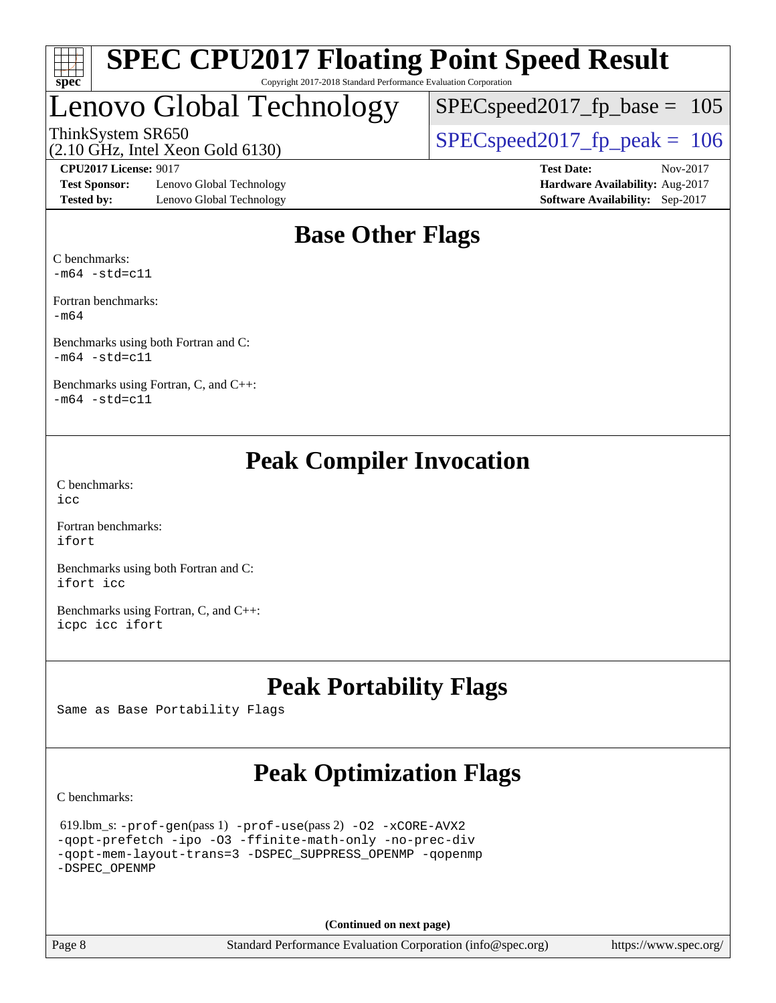

## Lenovo Global Technology

ThinkSystem SR650<br>(2.10 GHz, Intel Year Gold 6130)  $\text{SPEC speed2017\_fp\_peak} = 106$  $SPEC speed2017_fp\_base = 105$ 

(2.10 GHz, Intel Xeon Gold 6130)

**[Test Sponsor:](http://www.spec.org/auto/cpu2017/Docs/result-fields.html#TestSponsor)** Lenovo Global Technology **[Hardware Availability:](http://www.spec.org/auto/cpu2017/Docs/result-fields.html#HardwareAvailability)** Aug-2017 **[Tested by:](http://www.spec.org/auto/cpu2017/Docs/result-fields.html#Testedby)** Lenovo Global Technology **[Software Availability:](http://www.spec.org/auto/cpu2017/Docs/result-fields.html#SoftwareAvailability)** Sep-2017

**[CPU2017 License:](http://www.spec.org/auto/cpu2017/Docs/result-fields.html#CPU2017License)** 9017 **[Test Date:](http://www.spec.org/auto/cpu2017/Docs/result-fields.html#TestDate)** Nov-2017

## **[Base Other Flags](http://www.spec.org/auto/cpu2017/Docs/result-fields.html#BaseOtherFlags)**

[C benchmarks](http://www.spec.org/auto/cpu2017/Docs/result-fields.html#Cbenchmarks):  $-m64$   $-std=cl1$ 

[Fortran benchmarks](http://www.spec.org/auto/cpu2017/Docs/result-fields.html#Fortranbenchmarks): [-m64](http://www.spec.org/cpu2017/results/res2017q4/cpu2017-20171113-00484.flags.html#user_FCbase_intel_intel64_18.0_af43caccfc8ded86e7699f2159af6efc7655f51387b94da716254467f3c01020a5059329e2569e4053f409e7c9202a7efc638f7a6d1ffb3f52dea4a3e31d82ab)

[Benchmarks using both Fortran and C](http://www.spec.org/auto/cpu2017/Docs/result-fields.html#BenchmarksusingbothFortranandC):  $-m64$   $-std=cl1$ 

[Benchmarks using Fortran, C, and C++:](http://www.spec.org/auto/cpu2017/Docs/result-fields.html#BenchmarksusingFortranCandCXX)  $-m64 - std= c11$  $-m64 - std= c11$ 

## **[Peak Compiler Invocation](http://www.spec.org/auto/cpu2017/Docs/result-fields.html#PeakCompilerInvocation)**

[C benchmarks](http://www.spec.org/auto/cpu2017/Docs/result-fields.html#Cbenchmarks):  $inc$ 

[Fortran benchmarks](http://www.spec.org/auto/cpu2017/Docs/result-fields.html#Fortranbenchmarks): [ifort](http://www.spec.org/cpu2017/results/res2017q4/cpu2017-20171113-00484.flags.html#user_FCpeak_intel_ifort_18.0_8111460550e3ca792625aed983ce982f94888b8b503583aa7ba2b8303487b4d8a21a13e7191a45c5fd58ff318f48f9492884d4413fa793fd88dd292cad7027ca)

[Benchmarks using both Fortran and C](http://www.spec.org/auto/cpu2017/Docs/result-fields.html#BenchmarksusingbothFortranandC): [ifort](http://www.spec.org/cpu2017/results/res2017q4/cpu2017-20171113-00484.flags.html#user_CC_FCpeak_intel_ifort_18.0_8111460550e3ca792625aed983ce982f94888b8b503583aa7ba2b8303487b4d8a21a13e7191a45c5fd58ff318f48f9492884d4413fa793fd88dd292cad7027ca) [icc](http://www.spec.org/cpu2017/results/res2017q4/cpu2017-20171113-00484.flags.html#user_CC_FCpeak_intel_icc_18.0_66fc1ee009f7361af1fbd72ca7dcefbb700085f36577c54f309893dd4ec40d12360134090235512931783d35fd58c0460139e722d5067c5574d8eaf2b3e37e92)

[Benchmarks using Fortran, C, and C++:](http://www.spec.org/auto/cpu2017/Docs/result-fields.html#BenchmarksusingFortranCandCXX) [icpc](http://www.spec.org/cpu2017/results/res2017q4/cpu2017-20171113-00484.flags.html#user_CC_CXX_FCpeak_intel_icpc_18.0_c510b6838c7f56d33e37e94d029a35b4a7bccf4766a728ee175e80a419847e808290a9b78be685c44ab727ea267ec2f070ec5dc83b407c0218cded6866a35d07) [icc](http://www.spec.org/cpu2017/results/res2017q4/cpu2017-20171113-00484.flags.html#user_CC_CXX_FCpeak_intel_icc_18.0_66fc1ee009f7361af1fbd72ca7dcefbb700085f36577c54f309893dd4ec40d12360134090235512931783d35fd58c0460139e722d5067c5574d8eaf2b3e37e92) [ifort](http://www.spec.org/cpu2017/results/res2017q4/cpu2017-20171113-00484.flags.html#user_CC_CXX_FCpeak_intel_ifort_18.0_8111460550e3ca792625aed983ce982f94888b8b503583aa7ba2b8303487b4d8a21a13e7191a45c5fd58ff318f48f9492884d4413fa793fd88dd292cad7027ca)

## **[Peak Portability Flags](http://www.spec.org/auto/cpu2017/Docs/result-fields.html#PeakPortabilityFlags)**

Same as Base Portability Flags

## **[Peak Optimization Flags](http://www.spec.org/auto/cpu2017/Docs/result-fields.html#PeakOptimizationFlags)**

[C benchmarks](http://www.spec.org/auto/cpu2017/Docs/result-fields.html#Cbenchmarks):

```
 619.lbm_s: -prof-gen(pass 1) -prof-use(pass 2) -O2 -xCORE-AVX2
-qopt-prefetch -ipo -O3 -ffinite-math-only -no-prec-div
-qopt-mem-layout-trans=3 -DSPEC_SUPPRESS_OPENMP -qopenmp
-DSPEC_OPENMP
```
**(Continued on next page)**

Page 8 Standard Performance Evaluation Corporation [\(info@spec.org\)](mailto:info@spec.org) <https://www.spec.org/>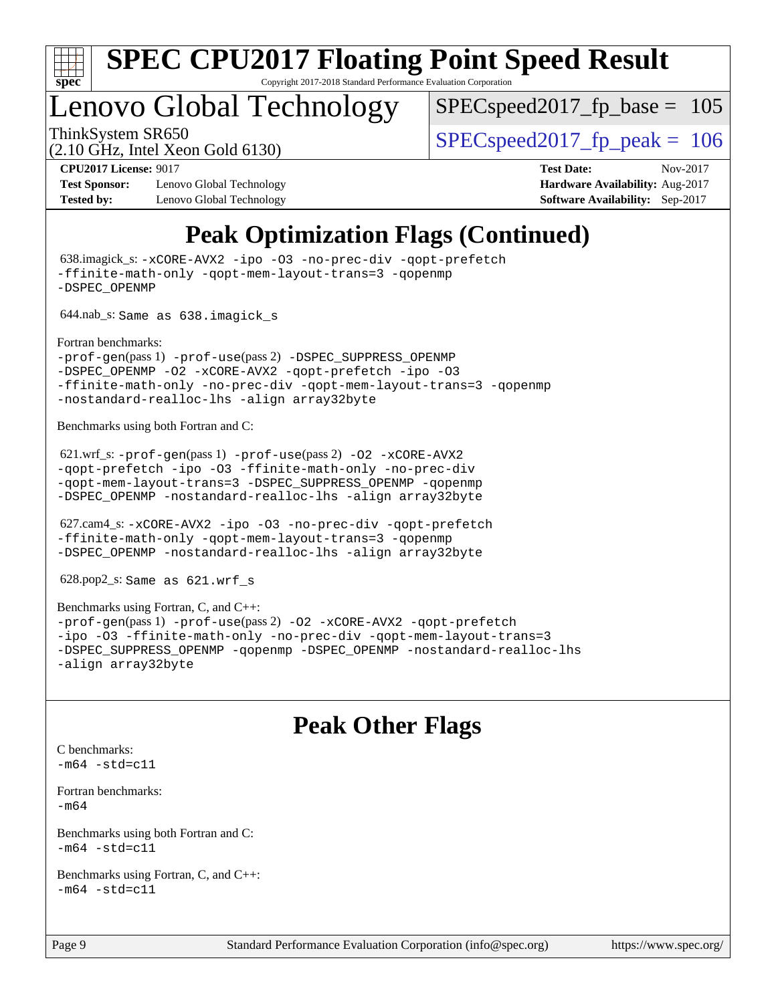

## Lenovo Global Technology

SPECspeed2017 fp base =  $105$ 

## (2.10 GHz, Intel Xeon Gold 6130)

ThinkSystem SR650  $SPEC speed2017$  fp\_peak = 106

**[Test Sponsor:](http://www.spec.org/auto/cpu2017/Docs/result-fields.html#TestSponsor)** Lenovo Global Technology **[Hardware Availability:](http://www.spec.org/auto/cpu2017/Docs/result-fields.html#HardwareAvailability)** Aug-2017 **[Tested by:](http://www.spec.org/auto/cpu2017/Docs/result-fields.html#Testedby)** Lenovo Global Technology **[Software Availability:](http://www.spec.org/auto/cpu2017/Docs/result-fields.html#SoftwareAvailability)** Sep-2017

**[CPU2017 License:](http://www.spec.org/auto/cpu2017/Docs/result-fields.html#CPU2017License)** 9017 **[Test Date:](http://www.spec.org/auto/cpu2017/Docs/result-fields.html#TestDate)** Nov-2017

## **[Peak Optimization Flags \(Continued\)](http://www.spec.org/auto/cpu2017/Docs/result-fields.html#PeakOptimizationFlags)**

 638.imagick\_s: [-xCORE-AVX2](http://www.spec.org/cpu2017/results/res2017q4/cpu2017-20171113-00484.flags.html#user_peakCOPTIMIZE638_imagick_s_f-xCORE-AVX2) [-ipo](http://www.spec.org/cpu2017/results/res2017q4/cpu2017-20171113-00484.flags.html#user_peakCOPTIMIZE638_imagick_s_f-ipo) [-O3](http://www.spec.org/cpu2017/results/res2017q4/cpu2017-20171113-00484.flags.html#user_peakCOPTIMIZE638_imagick_s_f-O3) [-no-prec-div](http://www.spec.org/cpu2017/results/res2017q4/cpu2017-20171113-00484.flags.html#user_peakCOPTIMIZE638_imagick_s_f-no-prec-div) [-qopt-prefetch](http://www.spec.org/cpu2017/results/res2017q4/cpu2017-20171113-00484.flags.html#user_peakCOPTIMIZE638_imagick_s_f-qopt-prefetch) [-ffinite-math-only](http://www.spec.org/cpu2017/results/res2017q4/cpu2017-20171113-00484.flags.html#user_peakCOPTIMIZE638_imagick_s_f_finite_math_only_cb91587bd2077682c4b38af759c288ed7c732db004271a9512da14a4f8007909a5f1427ecbf1a0fb78ff2a814402c6114ac565ca162485bbcae155b5e4258871) [-qopt-mem-layout-trans=3](http://www.spec.org/cpu2017/results/res2017q4/cpu2017-20171113-00484.flags.html#user_peakCOPTIMIZE638_imagick_s_f-qopt-mem-layout-trans_de80db37974c74b1f0e20d883f0b675c88c3b01e9d123adea9b28688d64333345fb62bc4a798493513fdb68f60282f9a726aa07f478b2f7113531aecce732043) [-qopenmp](http://www.spec.org/cpu2017/results/res2017q4/cpu2017-20171113-00484.flags.html#user_peakCOPTIMIZE638_imagick_s_qopenmp_16be0c44f24f464004c6784a7acb94aca937f053568ce72f94b139a11c7c168634a55f6653758ddd83bcf7b8463e8028bb0b48b77bcddc6b78d5d95bb1df2967) [-DSPEC\\_OPENMP](http://www.spec.org/cpu2017/results/res2017q4/cpu2017-20171113-00484.flags.html#suite_peakCOPTIMIZE638_imagick_s_DSPEC_OPENMP) 644.nab\_s: Same as 638.imagick\_s [Fortran benchmarks](http://www.spec.org/auto/cpu2017/Docs/result-fields.html#Fortranbenchmarks): [-prof-gen](http://www.spec.org/cpu2017/results/res2017q4/cpu2017-20171113-00484.flags.html#user_FCpeak_prof_gen_5aa4926d6013ddb2a31985c654b3eb18169fc0c6952a63635c234f711e6e63dd76e94ad52365559451ec499a2cdb89e4dc58ba4c67ef54ca681ffbe1461d6b36)(pass 1) [-prof-use](http://www.spec.org/cpu2017/results/res2017q4/cpu2017-20171113-00484.flags.html#user_FCpeak_prof_use_1a21ceae95f36a2b53c25747139a6c16ca95bd9def2a207b4f0849963b97e94f5260e30a0c64f4bb623698870e679ca08317ef8150905d41bd88c6f78df73f19)(pass 2) [-DSPEC\\_SUPPRESS\\_OPENMP](http://www.spec.org/cpu2017/results/res2017q4/cpu2017-20171113-00484.flags.html#suite_FCpeak_DSPEC_SUPPRESS_OPENMP) -DSPEC OPENMP [-O2](http://www.spec.org/cpu2017/results/res2017q4/cpu2017-20171113-00484.flags.html#user_FCpeak_f-O2) [-xCORE-AVX2](http://www.spec.org/cpu2017/results/res2017q4/cpu2017-20171113-00484.flags.html#user_FCpeak_f-xCORE-AVX2) [-qopt-prefetch](http://www.spec.org/cpu2017/results/res2017q4/cpu2017-20171113-00484.flags.html#user_FCpeak_f-qopt-prefetch) [-ipo](http://www.spec.org/cpu2017/results/res2017q4/cpu2017-20171113-00484.flags.html#user_FCpeak_f-ipo) [-O3](http://www.spec.org/cpu2017/results/res2017q4/cpu2017-20171113-00484.flags.html#user_FCpeak_f-O3) [-ffinite-math-only](http://www.spec.org/cpu2017/results/res2017q4/cpu2017-20171113-00484.flags.html#user_FCpeak_f_finite_math_only_cb91587bd2077682c4b38af759c288ed7c732db004271a9512da14a4f8007909a5f1427ecbf1a0fb78ff2a814402c6114ac565ca162485bbcae155b5e4258871) [-no-prec-div](http://www.spec.org/cpu2017/results/res2017q4/cpu2017-20171113-00484.flags.html#user_FCpeak_f-no-prec-div) [-qopt-mem-layout-trans=3](http://www.spec.org/cpu2017/results/res2017q4/cpu2017-20171113-00484.flags.html#user_FCpeak_f-qopt-mem-layout-trans_de80db37974c74b1f0e20d883f0b675c88c3b01e9d123adea9b28688d64333345fb62bc4a798493513fdb68f60282f9a726aa07f478b2f7113531aecce732043) [-qopenmp](http://www.spec.org/cpu2017/results/res2017q4/cpu2017-20171113-00484.flags.html#user_FCpeak_qopenmp_16be0c44f24f464004c6784a7acb94aca937f053568ce72f94b139a11c7c168634a55f6653758ddd83bcf7b8463e8028bb0b48b77bcddc6b78d5d95bb1df2967) [-nostandard-realloc-lhs](http://www.spec.org/cpu2017/results/res2017q4/cpu2017-20171113-00484.flags.html#user_FCpeak_f_2003_std_realloc_82b4557e90729c0f113870c07e44d33d6f5a304b4f63d4c15d2d0f1fab99f5daaed73bdb9275d9ae411527f28b936061aa8b9c8f2d63842963b95c9dd6426b8a) [-align array32byte](http://www.spec.org/cpu2017/results/res2017q4/cpu2017-20171113-00484.flags.html#user_FCpeak_align_array32byte_b982fe038af199962ba9a80c053b8342c548c85b40b8e86eb3cc33dee0d7986a4af373ac2d51c3f7cf710a18d62fdce2948f201cd044323541f22fc0fffc51b6) [Benchmarks using both Fortran and C](http://www.spec.org/auto/cpu2017/Docs/result-fields.html#BenchmarksusingbothFortranandC): 621.wrf\_s: [-prof-gen](http://www.spec.org/cpu2017/results/res2017q4/cpu2017-20171113-00484.flags.html#user_peakPASS1_CFLAGSPASS1_FFLAGSPASS1_LDFLAGS621_wrf_s_prof_gen_5aa4926d6013ddb2a31985c654b3eb18169fc0c6952a63635c234f711e6e63dd76e94ad52365559451ec499a2cdb89e4dc58ba4c67ef54ca681ffbe1461d6b36)(pass 1) [-prof-use](http://www.spec.org/cpu2017/results/res2017q4/cpu2017-20171113-00484.flags.html#user_peakPASS2_CFLAGSPASS2_FFLAGSPASS2_LDFLAGS621_wrf_s_prof_use_1a21ceae95f36a2b53c25747139a6c16ca95bd9def2a207b4f0849963b97e94f5260e30a0c64f4bb623698870e679ca08317ef8150905d41bd88c6f78df73f19)(pass 2) [-O2](http://www.spec.org/cpu2017/results/res2017q4/cpu2017-20171113-00484.flags.html#user_peakPASS1_COPTIMIZEPASS1_FOPTIMIZE621_wrf_s_f-O2) [-xCORE-AVX2](http://www.spec.org/cpu2017/results/res2017q4/cpu2017-20171113-00484.flags.html#user_peakPASS2_COPTIMIZEPASS2_FOPTIMIZE621_wrf_s_f-xCORE-AVX2) [-qopt-prefetch](http://www.spec.org/cpu2017/results/res2017q4/cpu2017-20171113-00484.flags.html#user_peakPASS1_COPTIMIZEPASS1_FOPTIMIZEPASS2_COPTIMIZEPASS2_FOPTIMIZE621_wrf_s_f-qopt-prefetch) [-ipo](http://www.spec.org/cpu2017/results/res2017q4/cpu2017-20171113-00484.flags.html#user_peakPASS2_COPTIMIZEPASS2_FOPTIMIZE621_wrf_s_f-ipo) [-O3](http://www.spec.org/cpu2017/results/res2017q4/cpu2017-20171113-00484.flags.html#user_peakPASS2_COPTIMIZEPASS2_FOPTIMIZE621_wrf_s_f-O3) [-ffinite-math-only](http://www.spec.org/cpu2017/results/res2017q4/cpu2017-20171113-00484.flags.html#user_peakPASS1_COPTIMIZEPASS1_FOPTIMIZEPASS2_COPTIMIZEPASS2_FOPTIMIZE621_wrf_s_f_finite_math_only_cb91587bd2077682c4b38af759c288ed7c732db004271a9512da14a4f8007909a5f1427ecbf1a0fb78ff2a814402c6114ac565ca162485bbcae155b5e4258871) [-no-prec-div](http://www.spec.org/cpu2017/results/res2017q4/cpu2017-20171113-00484.flags.html#user_peakPASS2_COPTIMIZEPASS2_FOPTIMIZE621_wrf_s_f-no-prec-div) [-qopt-mem-layout-trans=3](http://www.spec.org/cpu2017/results/res2017q4/cpu2017-20171113-00484.flags.html#user_peakPASS1_COPTIMIZEPASS1_FOPTIMIZEPASS2_COPTIMIZEPASS2_FOPTIMIZE621_wrf_s_f-qopt-mem-layout-trans_de80db37974c74b1f0e20d883f0b675c88c3b01e9d123adea9b28688d64333345fb62bc4a798493513fdb68f60282f9a726aa07f478b2f7113531aecce732043) [-DSPEC\\_SUPPRESS\\_OPENMP](http://www.spec.org/cpu2017/results/res2017q4/cpu2017-20171113-00484.flags.html#suite_peakPASS1_COPTIMIZEPASS1_FOPTIMIZE621_wrf_s_DSPEC_SUPPRESS_OPENMP) [-qopenmp](http://www.spec.org/cpu2017/results/res2017q4/cpu2017-20171113-00484.flags.html#user_peakPASS2_COPTIMIZEPASS2_FOPTIMIZE621_wrf_s_qopenmp_16be0c44f24f464004c6784a7acb94aca937f053568ce72f94b139a11c7c168634a55f6653758ddd83bcf7b8463e8028bb0b48b77bcddc6b78d5d95bb1df2967) [-DSPEC\\_OPENMP](http://www.spec.org/cpu2017/results/res2017q4/cpu2017-20171113-00484.flags.html#suite_peakPASS2_COPTIMIZEPASS2_FOPTIMIZE621_wrf_s_DSPEC_OPENMP) [-nostandard-realloc-lhs](http://www.spec.org/cpu2017/results/res2017q4/cpu2017-20171113-00484.flags.html#user_peakEXTRA_FOPTIMIZE621_wrf_s_f_2003_std_realloc_82b4557e90729c0f113870c07e44d33d6f5a304b4f63d4c15d2d0f1fab99f5daaed73bdb9275d9ae411527f28b936061aa8b9c8f2d63842963b95c9dd6426b8a) [-align array32byte](http://www.spec.org/cpu2017/results/res2017q4/cpu2017-20171113-00484.flags.html#user_peakEXTRA_FOPTIMIZE621_wrf_s_align_array32byte_b982fe038af199962ba9a80c053b8342c548c85b40b8e86eb3cc33dee0d7986a4af373ac2d51c3f7cf710a18d62fdce2948f201cd044323541f22fc0fffc51b6) 627.cam4\_s: [-xCORE-AVX2](http://www.spec.org/cpu2017/results/res2017q4/cpu2017-20171113-00484.flags.html#user_peakCOPTIMIZEFOPTIMIZE627_cam4_s_f-xCORE-AVX2) [-ipo](http://www.spec.org/cpu2017/results/res2017q4/cpu2017-20171113-00484.flags.html#user_peakCOPTIMIZEFOPTIMIZE627_cam4_s_f-ipo) [-O3](http://www.spec.org/cpu2017/results/res2017q4/cpu2017-20171113-00484.flags.html#user_peakCOPTIMIZEFOPTIMIZE627_cam4_s_f-O3) [-no-prec-div](http://www.spec.org/cpu2017/results/res2017q4/cpu2017-20171113-00484.flags.html#user_peakCOPTIMIZEFOPTIMIZE627_cam4_s_f-no-prec-div) [-qopt-prefetch](http://www.spec.org/cpu2017/results/res2017q4/cpu2017-20171113-00484.flags.html#user_peakCOPTIMIZEFOPTIMIZE627_cam4_s_f-qopt-prefetch) [-ffinite-math-only](http://www.spec.org/cpu2017/results/res2017q4/cpu2017-20171113-00484.flags.html#user_peakCOPTIMIZEFOPTIMIZE627_cam4_s_f_finite_math_only_cb91587bd2077682c4b38af759c288ed7c732db004271a9512da14a4f8007909a5f1427ecbf1a0fb78ff2a814402c6114ac565ca162485bbcae155b5e4258871) [-qopt-mem-layout-trans=3](http://www.spec.org/cpu2017/results/res2017q4/cpu2017-20171113-00484.flags.html#user_peakCOPTIMIZEFOPTIMIZE627_cam4_s_f-qopt-mem-layout-trans_de80db37974c74b1f0e20d883f0b675c88c3b01e9d123adea9b28688d64333345fb62bc4a798493513fdb68f60282f9a726aa07f478b2f7113531aecce732043) [-qopenmp](http://www.spec.org/cpu2017/results/res2017q4/cpu2017-20171113-00484.flags.html#user_peakCOPTIMIZEFOPTIMIZE627_cam4_s_qopenmp_16be0c44f24f464004c6784a7acb94aca937f053568ce72f94b139a11c7c168634a55f6653758ddd83bcf7b8463e8028bb0b48b77bcddc6b78d5d95bb1df2967) [-DSPEC\\_OPENMP](http://www.spec.org/cpu2017/results/res2017q4/cpu2017-20171113-00484.flags.html#suite_peakCOPTIMIZEFOPTIMIZE627_cam4_s_DSPEC_OPENMP) [-nostandard-realloc-lhs](http://www.spec.org/cpu2017/results/res2017q4/cpu2017-20171113-00484.flags.html#user_peakEXTRA_FOPTIMIZE627_cam4_s_f_2003_std_realloc_82b4557e90729c0f113870c07e44d33d6f5a304b4f63d4c15d2d0f1fab99f5daaed73bdb9275d9ae411527f28b936061aa8b9c8f2d63842963b95c9dd6426b8a) [-align array32byte](http://www.spec.org/cpu2017/results/res2017q4/cpu2017-20171113-00484.flags.html#user_peakEXTRA_FOPTIMIZE627_cam4_s_align_array32byte_b982fe038af199962ba9a80c053b8342c548c85b40b8e86eb3cc33dee0d7986a4af373ac2d51c3f7cf710a18d62fdce2948f201cd044323541f22fc0fffc51b6) 628.pop2\_s: Same as 621.wrf\_s [Benchmarks using Fortran, C, and C++:](http://www.spec.org/auto/cpu2017/Docs/result-fields.html#BenchmarksusingFortranCandCXX)

[-prof-gen](http://www.spec.org/cpu2017/results/res2017q4/cpu2017-20171113-00484.flags.html#user_CC_CXX_FCpeak_prof_gen_5aa4926d6013ddb2a31985c654b3eb18169fc0c6952a63635c234f711e6e63dd76e94ad52365559451ec499a2cdb89e4dc58ba4c67ef54ca681ffbe1461d6b36)(pass 1) [-prof-use](http://www.spec.org/cpu2017/results/res2017q4/cpu2017-20171113-00484.flags.html#user_CC_CXX_FCpeak_prof_use_1a21ceae95f36a2b53c25747139a6c16ca95bd9def2a207b4f0849963b97e94f5260e30a0c64f4bb623698870e679ca08317ef8150905d41bd88c6f78df73f19)(pass 2) [-O2](http://www.spec.org/cpu2017/results/res2017q4/cpu2017-20171113-00484.flags.html#user_CC_CXX_FCpeak_f-O2) [-xCORE-AVX2](http://www.spec.org/cpu2017/results/res2017q4/cpu2017-20171113-00484.flags.html#user_CC_CXX_FCpeak_f-xCORE-AVX2) [-qopt-prefetch](http://www.spec.org/cpu2017/results/res2017q4/cpu2017-20171113-00484.flags.html#user_CC_CXX_FCpeak_f-qopt-prefetch) [-ipo](http://www.spec.org/cpu2017/results/res2017q4/cpu2017-20171113-00484.flags.html#user_CC_CXX_FCpeak_f-ipo) [-O3](http://www.spec.org/cpu2017/results/res2017q4/cpu2017-20171113-00484.flags.html#user_CC_CXX_FCpeak_f-O3) [-ffinite-math-only](http://www.spec.org/cpu2017/results/res2017q4/cpu2017-20171113-00484.flags.html#user_CC_CXX_FCpeak_f_finite_math_only_cb91587bd2077682c4b38af759c288ed7c732db004271a9512da14a4f8007909a5f1427ecbf1a0fb78ff2a814402c6114ac565ca162485bbcae155b5e4258871) [-no-prec-div](http://www.spec.org/cpu2017/results/res2017q4/cpu2017-20171113-00484.flags.html#user_CC_CXX_FCpeak_f-no-prec-div) [-qopt-mem-layout-trans=3](http://www.spec.org/cpu2017/results/res2017q4/cpu2017-20171113-00484.flags.html#user_CC_CXX_FCpeak_f-qopt-mem-layout-trans_de80db37974c74b1f0e20d883f0b675c88c3b01e9d123adea9b28688d64333345fb62bc4a798493513fdb68f60282f9a726aa07f478b2f7113531aecce732043) [-DSPEC\\_SUPPRESS\\_OPENMP](http://www.spec.org/cpu2017/results/res2017q4/cpu2017-20171113-00484.flags.html#suite_CC_CXX_FCpeak_DSPEC_SUPPRESS_OPENMP) [-qopenmp](http://www.spec.org/cpu2017/results/res2017q4/cpu2017-20171113-00484.flags.html#user_CC_CXX_FCpeak_qopenmp_16be0c44f24f464004c6784a7acb94aca937f053568ce72f94b139a11c7c168634a55f6653758ddd83bcf7b8463e8028bb0b48b77bcddc6b78d5d95bb1df2967) [-DSPEC\\_OPENMP](http://www.spec.org/cpu2017/results/res2017q4/cpu2017-20171113-00484.flags.html#suite_CC_CXX_FCpeak_DSPEC_OPENMP) [-nostandard-realloc-lhs](http://www.spec.org/cpu2017/results/res2017q4/cpu2017-20171113-00484.flags.html#user_CC_CXX_FCpeak_f_2003_std_realloc_82b4557e90729c0f113870c07e44d33d6f5a304b4f63d4c15d2d0f1fab99f5daaed73bdb9275d9ae411527f28b936061aa8b9c8f2d63842963b95c9dd6426b8a) [-align array32byte](http://www.spec.org/cpu2017/results/res2017q4/cpu2017-20171113-00484.flags.html#user_CC_CXX_FCpeak_align_array32byte_b982fe038af199962ba9a80c053b8342c548c85b40b8e86eb3cc33dee0d7986a4af373ac2d51c3f7cf710a18d62fdce2948f201cd044323541f22fc0fffc51b6)

## **[Peak Other Flags](http://www.spec.org/auto/cpu2017/Docs/result-fields.html#PeakOtherFlags)**

```
C benchmarks: 
-m64 - std= c11
```
[Fortran benchmarks](http://www.spec.org/auto/cpu2017/Docs/result-fields.html#Fortranbenchmarks): [-m64](http://www.spec.org/cpu2017/results/res2017q4/cpu2017-20171113-00484.flags.html#user_FCpeak_intel_intel64_18.0_af43caccfc8ded86e7699f2159af6efc7655f51387b94da716254467f3c01020a5059329e2569e4053f409e7c9202a7efc638f7a6d1ffb3f52dea4a3e31d82ab)

```
Benchmarks using both Fortran and C: 
-m64 - std= c11
```

```
Benchmarks using Fortran, C, and C++: 
-m64 - std= c11
```